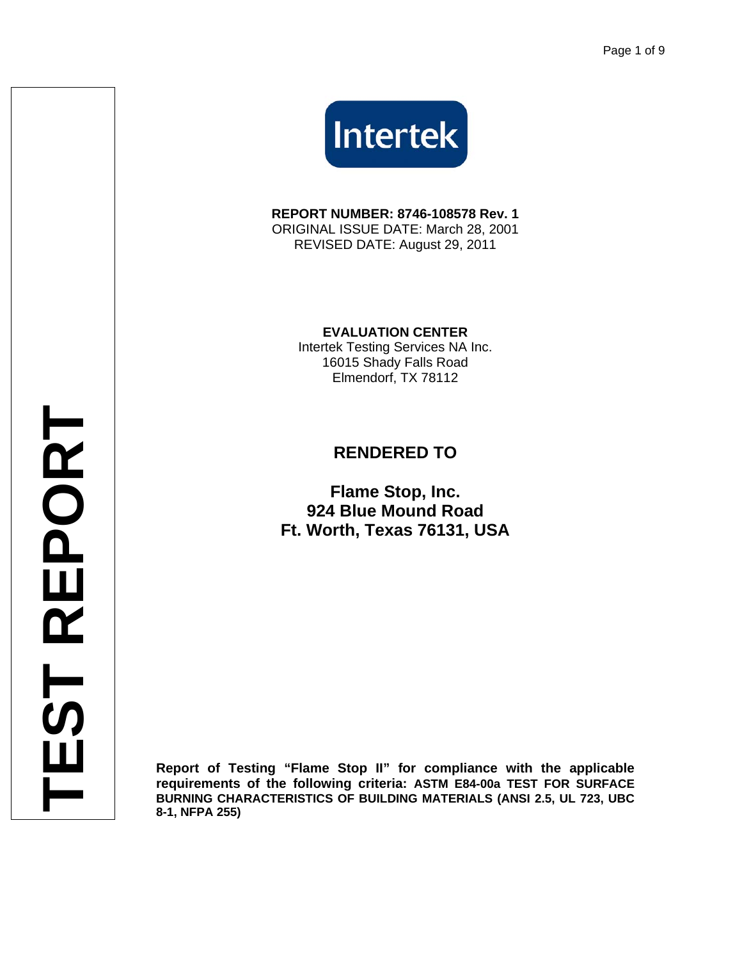

**REPORT NUMBER: 8746-108578 Rev. 1**  ORIGINAL ISSUE DATE: March 28, 2001 REVISED DATE: August 29, 2011

> **EVALUATION CENTER**  Intertek Testing Services NA Inc. 16015 Shady Falls Road

> > Elmendorf, TX 78112

## **RENDERED TO**

**Flame Stop, Inc. 924 Blue Mound Road Ft. Worth, Texas 76131, USA**

**Report of Testing "Flame Stop II" for compliance with the applicable requirements of the following criteria: ASTM E84-00a TEST FOR SURFACE BURNING CHARACTERISTICS OF BUILDING MATERIALS (ANSI 2.5, UL 723, UBC 8-1, NFPA 255)**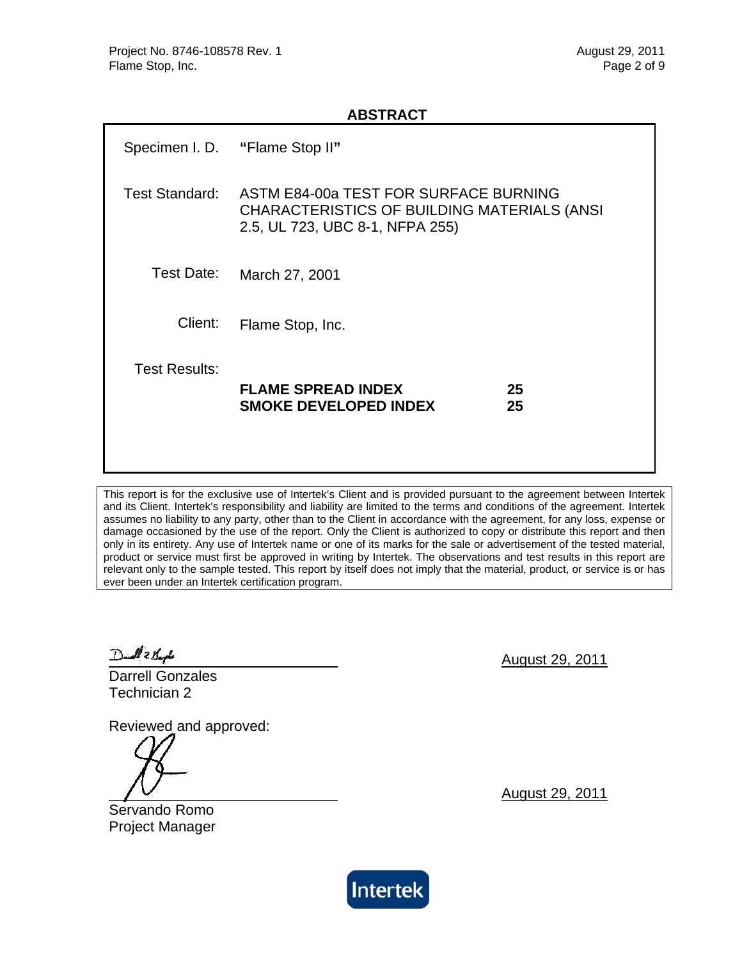#### **ABSTRACT**

|                      | Specimen I. D. "Flame Stop II"                                                                                          |          |
|----------------------|-------------------------------------------------------------------------------------------------------------------------|----------|
| Test Standard:       | ASTM E84-00a TEST FOR SURFACE BURNING<br>CHARACTERISTICS OF BUILDING MATERIALS (ANSI<br>2.5, UL 723, UBC 8-1, NFPA 255) |          |
| Test Date:           | March 27, 2001                                                                                                          |          |
| Client:              | Flame Stop, Inc.                                                                                                        |          |
| <b>Test Results:</b> | <b>FLAME SPREAD INDEX</b><br><b>SMOKE DEVELOPED INDEX</b>                                                               | 25<br>25 |

This report is for the exclusive use of Intertek's Client and is provided pursuant to the agreement between Intertek and its Client. Intertek's responsibility and liability are limited to the terms and conditions of the agreement. Intertek assumes no liability to any party, other than to the Client in accordance with the agreement, for any loss, expense or damage occasioned by the use of the report. Only the Client is authorized to copy or distribute this report and then only in its entirety. Any use of Intertek name or one of its marks for the sale or advertisement of the tested material, product or service must first be approved in writing by Intertek. The observations and test results in this report are relevant only to the sample tested. This report by itself does not imply that the material, product, or service is or has ever been under an Intertek certification program.

Daid 2 Books

Darrell Gonzales Technician 2

Reviewed and approved:

Servando Romo Project Manager August 29, 2011

August 29, 2011

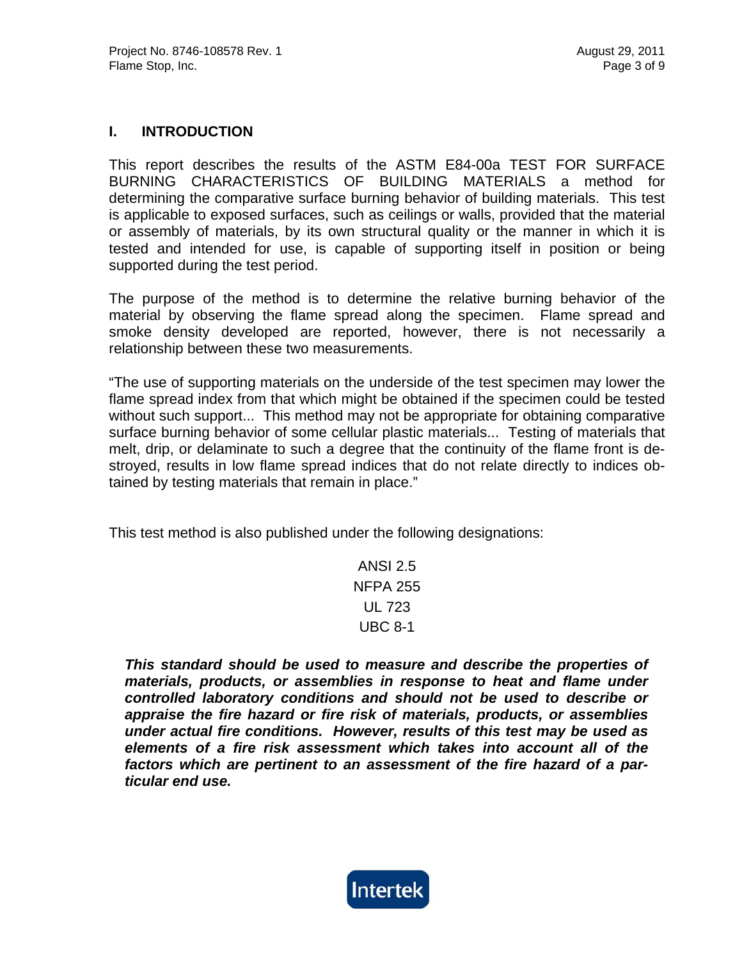#### **I. INTRODUCTION**

This report describes the results of the ASTM E84-00a TEST FOR SURFACE BURNING CHARACTERISTICS OF BUILDING MATERIALS a method for determining the comparative surface burning behavior of building materials. This test is applicable to exposed surfaces, such as ceilings or walls, provided that the material or assembly of materials, by its own structural quality or the manner in which it is tested and intended for use, is capable of supporting itself in position or being supported during the test period.

The purpose of the method is to determine the relative burning behavior of the material by observing the flame spread along the specimen. Flame spread and smoke density developed are reported, however, there is not necessarily a relationship between these two measurements.

"The use of supporting materials on the underside of the test specimen may lower the flame spread index from that which might be obtained if the specimen could be tested without such support... This method may not be appropriate for obtaining comparative surface burning behavior of some cellular plastic materials... Testing of materials that melt, drip, or delaminate to such a degree that the continuity of the flame front is destroyed, results in low flame spread indices that do not relate directly to indices obtained by testing materials that remain in place."

This test method is also published under the following designations:

ANSI 2.5 NFPA 255 UL 723 UBC 8-1

*This standard should be used to measure and describe the properties of materials, products, or assemblies in response to heat and flame under controlled laboratory conditions and should not be used to describe or appraise the fire hazard or fire risk of materials, products, or assemblies under actual fire conditions. However, results of this test may be used as elements of a fire risk assessment which takes into account all of the factors which are pertinent to an assessment of the fire hazard of a particular end use.* 

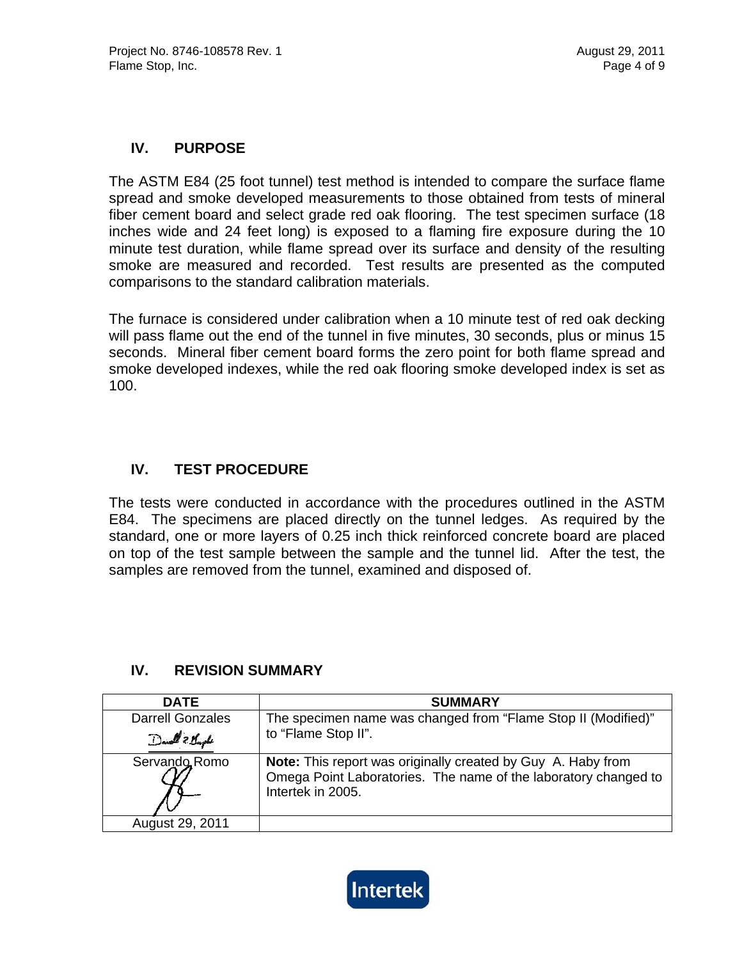#### **IV. PURPOSE**

The ASTM E84 (25 foot tunnel) test method is intended to compare the surface flame spread and smoke developed measurements to those obtained from tests of mineral fiber cement board and select grade red oak flooring. The test specimen surface (18 inches wide and 24 feet long) is exposed to a flaming fire exposure during the 10 minute test duration, while flame spread over its surface and density of the resulting smoke are measured and recorded. Test results are presented as the computed comparisons to the standard calibration materials.

The furnace is considered under calibration when a 10 minute test of red oak decking will pass flame out the end of the tunnel in five minutes, 30 seconds, plus or minus 15 seconds. Mineral fiber cement board forms the zero point for both flame spread and smoke developed indexes, while the red oak flooring smoke developed index is set as 100.

#### **IV. TEST PROCEDURE**

The tests were conducted in accordance with the procedures outlined in the ASTM E84. The specimens are placed directly on the tunnel ledges. As required by the standard, one or more layers of 0.25 inch thick reinforced concrete board are placed on top of the test sample between the sample and the tunnel lid. After the test, the samples are removed from the tunnel, examined and disposed of.

#### **IV. REVISION SUMMARY**

| <b>DATE</b>                                | <b>SUMMARY</b>                                                                                                                                       |
|--------------------------------------------|------------------------------------------------------------------------------------------------------------------------------------------------------|
| <b>Darrell Gonzales</b><br>Davell & Kingle | The specimen name was changed from "Flame Stop II (Modified)"<br>to "Flame Stop II".                                                                 |
| Servando Romo                              | Note: This report was originally created by Guy A. Haby from<br>Omega Point Laboratories. The name of the laboratory changed to<br>Intertek in 2005. |
| August 29, 2011                            |                                                                                                                                                      |

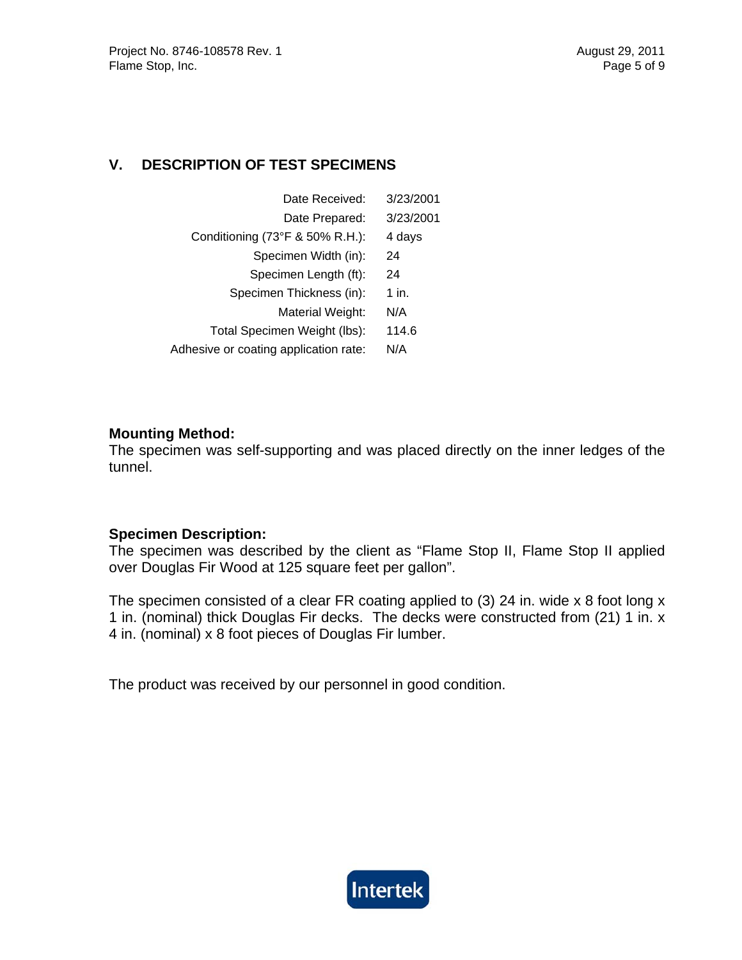### **V. DESCRIPTION OF TEST SPECIMENS**

| Date Received:                        | 3/23/2001 |
|---------------------------------------|-----------|
| Date Prepared:                        | 3/23/2001 |
| Conditioning (73°F & 50% R.H.):       | 4 days    |
| Specimen Width (in):                  | 24        |
| Specimen Length (ft):                 | 24        |
| Specimen Thickness (in):              | 1 in.     |
| Material Weight:                      | N/A       |
| Total Specimen Weight (lbs):          | 114.6     |
| Adhesive or coating application rate: | N/A       |

#### **Mounting Method:**

The specimen was self-supporting and was placed directly on the inner ledges of the tunnel.

#### **Specimen Description:**

The specimen was described by the client as "Flame Stop II, Flame Stop II applied over Douglas Fir Wood at 125 square feet per gallon".

The specimen consisted of a clear FR coating applied to (3) 24 in. wide x 8 foot long x 1 in. (nominal) thick Douglas Fir decks. The decks were constructed from (21) 1 in. x 4 in. (nominal) x 8 foot pieces of Douglas Fir lumber.

The product was received by our personnel in good condition.

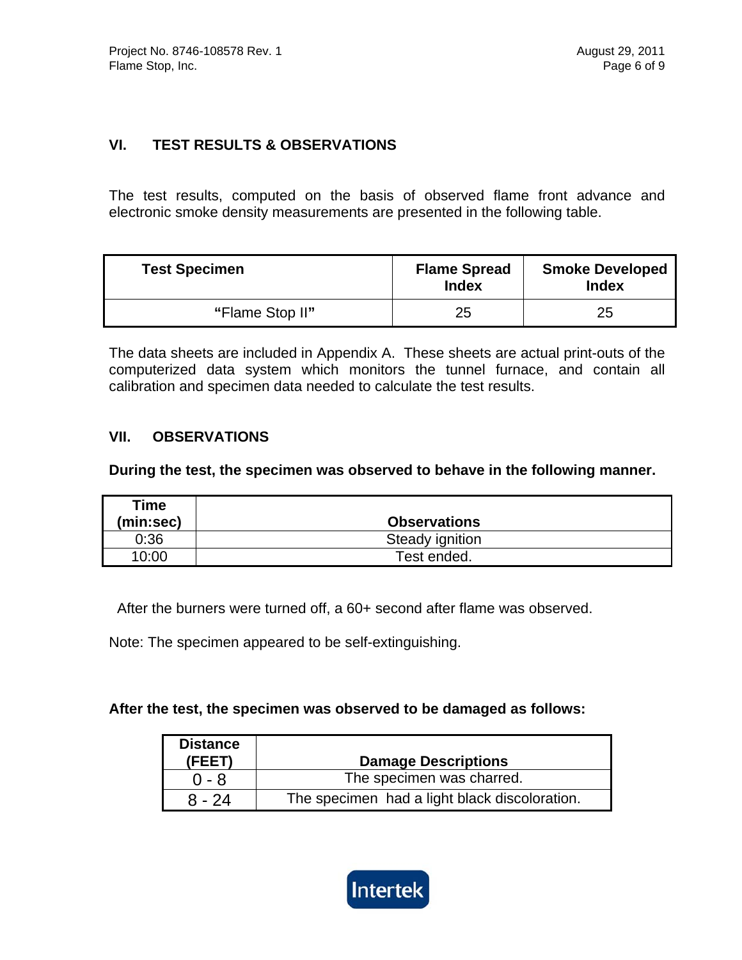#### **VI. TEST RESULTS & OBSERVATIONS**

The test results, computed on the basis of observed flame front advance and electronic smoke density measurements are presented in the following table.

| <b>Test Specimen</b> | <b>Flame Spread</b><br><b>Index</b> | <b>Smoke Developed</b><br><b>Index</b> |
|----------------------|-------------------------------------|----------------------------------------|
| "Flame Stop II"      | 25                                  | 25                                     |

The data sheets are included in Appendix A. These sheets are actual print-outs of the computerized data system which monitors the tunnel furnace, and contain all calibration and specimen data needed to calculate the test results.

#### **VII. OBSERVATIONS**

**During the test, the specimen was observed to behave in the following manner.** 

| Time      |                     |
|-----------|---------------------|
| (min:sec) | <b>Observations</b> |
| 0:36      | Steady ignition     |
| 10:00     | Test ended.         |

After the burners were turned off, a 60+ second after flame was observed.

Note: The specimen appeared to be self-extinguishing.

#### **After the test, the specimen was observed to be damaged as follows:**

| <b>Distance</b><br>(FEET) | <b>Damage Descriptions</b>                    |
|---------------------------|-----------------------------------------------|
| $0 - 8$                   | The specimen was charred.                     |
| $8 - 24$                  | The specimen had a light black discoloration. |

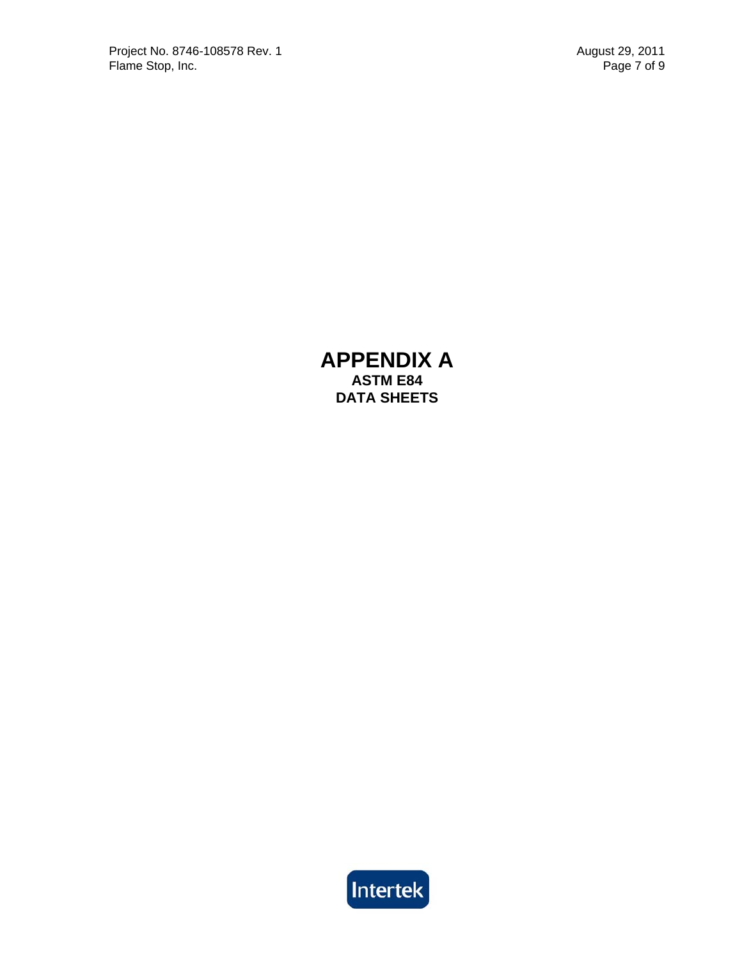## **APPENDIX A ASTM E84 DATA SHEETS**

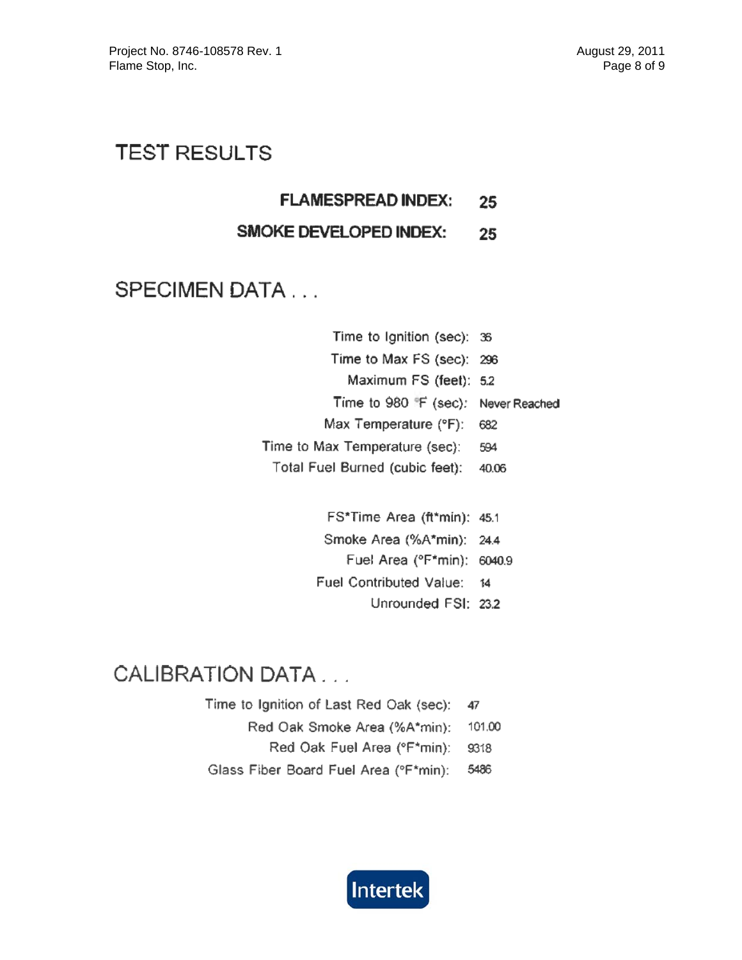# **TEST RESULTS**

**FLAMESPREAD INDEX:** 25

#### **SMOKE DEVELOPED INDEX:** 25

# **SPECIMEN DATA...**

| Time to Ignition (sec): 36                      |       |
|-------------------------------------------------|-------|
| Time to Max FS (sec): 296                       |       |
| Maximum FS (feet): 5.2                          |       |
| Time to 980 <sup>#</sup> F (sec): Never Reached |       |
| Max Temperature (°F):                           | 682   |
| Time to Max Temperature (sec):                  | 594   |
| Total Fuel Burned (cubic feet):                 | 40.06 |

FS\*Time Area (ft\*min): 45.1 Smoke Area (%A\*min): 24.4 Fuel Area (°F\*min): 6040.9 Fuel Contributed Value: 14 Unrounded FSI: 23.2

# **CALIBRATION DATA...**

Time to Ignition of Last Red Oak (sec): 47 Red Oak Smoke Area (%A\*min): 101.00 Red Oak Fuel Area (°F\*min): 9318 Glass Fiber Board Fuel Area (°F\*min): 5486